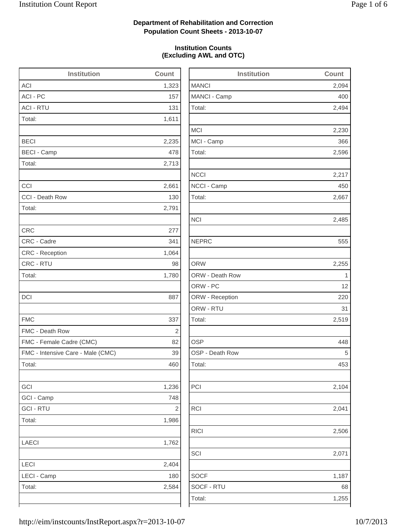### **Department of Rehabilitation and Correction Population Count Sheets - 2013-10-07**

### **Institution Counts (Excluding AWL and OTC)**

| <b>Institution</b>                | <b>Count</b>   | b               |
|-----------------------------------|----------------|-----------------|
| <b>ACI</b>                        | 1,323          | <b>MANCI</b>    |
| <b>ACI - PC</b>                   | 157            | MANCI - Camp    |
| <b>ACI - RTU</b>                  | 131            | Total:          |
| Total:                            | 1,611          |                 |
|                                   |                | <b>MCI</b>      |
| <b>BECI</b>                       | 2,235          | MCI - Camp      |
| <b>BECI - Camp</b>                | 478            | Total:          |
| Total:                            | 2,713          |                 |
|                                   |                | <b>NCCI</b>     |
| CCI                               | 2,661          | NCCI - Camp     |
| CCI - Death Row                   | 130            | Total:          |
| Total:                            | 2,791          |                 |
|                                   |                | <b>NCI</b>      |
| <b>CRC</b>                        | 277            |                 |
| CRC - Cadre                       | 341            | <b>NEPRC</b>    |
| <b>CRC</b> - Reception            | 1,064          |                 |
| CRC - RTU                         | 98             | <b>ORW</b>      |
| Total:                            | 1,780          | ORW - Death Row |
|                                   |                | ORW - PC        |
| <b>DCI</b>                        | 887            | ORW - Reception |
|                                   |                | ORW - RTU       |
| <b>FMC</b>                        | 337            | Total:          |
| FMC - Death Row                   | $\overline{2}$ |                 |
| FMC - Female Cadre (CMC)          | 82             | <b>OSP</b>      |
| FMC - Intensive Care - Male (CMC) | 39             | OSP - Death Row |
| Total:                            | 460            | Total:          |
|                                   |                |                 |
| GCI                               | 1,236          | PCI             |
| GCI - Camp                        | 748            |                 |
| <b>GCI - RTU</b>                  | 2              | <b>RCI</b>      |
| Total:                            | 1,986          |                 |
|                                   |                | <b>RICI</b>     |
| LAECI                             | 1,762          |                 |
|                                   |                | SCI             |
| LECI                              | 2,404          |                 |
| LECI - Camp                       | 180            | <b>SOCF</b>     |
| Total:                            | 2,584          | SOCF - RTU      |
|                                   |                | Total:          |
|                                   |                |                 |

| <b>Institution</b> | <b>Count</b> |
|--------------------|--------------|
| <b>MANCI</b>       | 2,094        |
| MANCI - Camp       | 400          |
| Total:             | 2,494        |
| <b>MCI</b>         | 2,230        |
| MCI - Camp         | 366          |
| Total:             | 2,596        |
| <b>NCCI</b>        | 2,217        |
| NCCI - Camp        | 450          |
| Total:             | 2,667        |
| <b>NCI</b>         | 2,485        |
| <b>NEPRC</b>       | 555          |
| <b>ORW</b>         | 2,255        |
| ORW - Death Row    | 1            |
| ORW - PC           | 12           |
| ORW - Reception    | 220          |
| ORW - RTU          | 31           |
| Total:             | 2,519        |
| <b>OSP</b>         | 448          |
| OSP - Death Row    | 5            |
| Total:             | 453          |
| PCI                | 2,104        |
| <b>RCI</b>         | 2,041        |
| <b>RICI</b>        | 2,506        |
| SCI                | 2,071        |
| <b>SOCF</b>        | 1,187        |
| SOCF - RTU         | 68           |
| Total:             | 1,255        |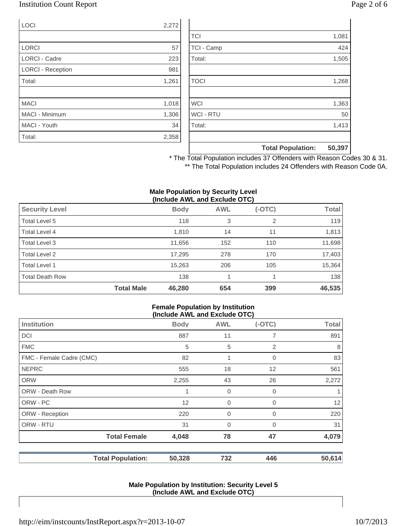### Institution Count Report Page 2 of 6

| LOCI                     | 2,272 |
|--------------------------|-------|
|                          |       |
| <b>LORCI</b>             | 57    |
| <b>LORCI - Cadre</b>     | 223   |
| <b>LORCI - Reception</b> | 981   |
| Total:                   | 1,261 |
|                          |       |
| <b>MACI</b>              | 1,018 |
| <b>MACI - Minimum</b>    | 1,306 |
| MACI - Youth             | 34    |
| Total:                   | 2,358 |

|                  | <b>Total Population:</b> | 50,397 |
|------------------|--------------------------|--------|
|                  |                          |        |
| Total:           |                          | 1,413  |
| <b>WCI - RTU</b> |                          | 50     |
| <b>WCI</b>       |                          | 1,363  |
|                  |                          |        |
| <b>TOCI</b>      |                          | 1,268  |
|                  |                          |        |
| Total:           |                          | 1,505  |
| TCI - Camp       |                          | 424    |
| <b>TCI</b>       |                          | 1,081  |

\* The Total Population includes 37 Offenders with Reason Codes 30 & 31. \*\* The Total Population includes 24 Offenders with Reason Code 0A.

#### **Male Population by Security Level (Include AWL and Exclude OTC)**

| ,                      |                   |             |            |          |              |
|------------------------|-------------------|-------------|------------|----------|--------------|
| <b>Security Level</b>  |                   | <b>Body</b> | <b>AWL</b> | $(-OTC)$ | <b>Total</b> |
| Total Level 5          |                   | 118         | 3          | 2        | 119          |
| Total Level 4          |                   | 1,810       | 14         | 11       | 1,813        |
| Total Level 3          |                   | 11,656      | 152        | 110      | 11,698       |
| Total Level 2          |                   | 17,295      | 278        | 170      | 17,403       |
| Total Level 1          |                   | 15,263      | 206        | 105      | 15,364       |
| <b>Total Death Row</b> |                   | 138         |            |          | 138          |
|                        | <b>Total Male</b> | 46,280      | 654        | 399      | 46,535       |

#### **Female Population by Institution (Include AWL and Exclude OTC)**

|                          | $1.01$ and $1.011$ and $2.01$ and $3.01$ |                |          |        |
|--------------------------|------------------------------------------|----------------|----------|--------|
| <b>Institution</b>       | <b>Body</b>                              | <b>AWL</b>     | $(-OTC)$ | Total  |
| <b>DCI</b>               | 887                                      | 11             | 7        | 891    |
| <b>FMC</b>               | 5                                        | 5              | 2        | 8      |
| FMC - Female Cadre (CMC) | 82                                       | 1              | 0        | 83     |
| <b>NEPRC</b>             | 555                                      | 18             | 12       | 561    |
| <b>ORW</b>               | 2,255                                    | 43             | 26       | 2,272  |
| <b>ORW - Death Row</b>   | 1                                        | 0              | 0        | 1      |
| ORW - PC                 | 12                                       | $\mathbf 0$    | 0        | 12     |
| ORW - Reception          | 220                                      | $\mathbf 0$    | 0        | 220    |
| ORW - RTU                | 31                                       | $\overline{0}$ | $\Omega$ | 31     |
| <b>Total Female</b>      | 4,048                                    | 78             | 47       | 4,079  |
| <b>Total Population:</b> | 50,328                                   | 732            | 446      | 50,614 |

#### **Male Population by Institution: Security Level 5 (Include AWL and Exclude OTC)**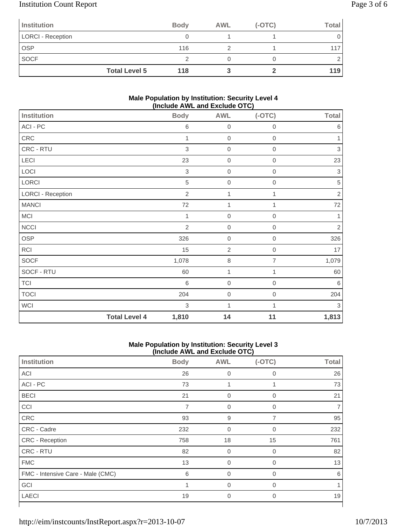# Institution Count Report Page 3 of 6

| Institution              |                      | <b>Body</b> | <b>AWL</b> | $(-OTC)$ | Total |
|--------------------------|----------------------|-------------|------------|----------|-------|
| <b>LORCI - Reception</b> |                      |             |            |          |       |
| <b>OSP</b>               |                      | 116         |            |          |       |
| <b>SOCF</b>              |                      |             |            |          |       |
|                          | <b>Total Level 5</b> | 118         |            |          | 119   |

### **Male Population by Institution: Security Level 4 (Include AWL and Exclude OTC)**

|                          |                      |                |                  | . ,              |              |
|--------------------------|----------------------|----------------|------------------|------------------|--------------|
| <b>Institution</b>       |                      | <b>Body</b>    | <b>AWL</b>       | $(-OTC)$         | <b>Total</b> |
| ACI - PC                 |                      | $\,6$          | $\boldsymbol{0}$ | $\mathbf 0$      | $\,6$        |
| CRC                      |                      | 1              | $\boldsymbol{0}$ | $\boldsymbol{0}$ | 1            |
| CRC - RTU                |                      | 3              | $\boldsymbol{0}$ | $\mathbf 0$      | $\,$ 3 $\,$  |
| LECI                     |                      | 23             | $\mathbf 0$      | $\mathbf 0$      | 23           |
| LOCI                     |                      | $\,$ 3 $\,$    | $\mathbf 0$      | $\boldsymbol{0}$ | $\,$ 3 $\,$  |
| LORCI                    |                      | 5              | $\mathbf 0$      | $\boldsymbol{0}$ | $\sqrt{5}$   |
| <b>LORCI - Reception</b> |                      | $\overline{2}$ | 1                | 1                | $\sqrt{2}$   |
| <b>MANCI</b>             |                      | 72             | 1                | 1                | $72\,$       |
| <b>MCI</b>               |                      | 1              | $\mathbf 0$      | $\,0\,$          | $\mathbf{1}$ |
| <b>NCCI</b>              |                      | $\overline{2}$ | $\mathbf 0$      | $\mathbf 0$      | $\sqrt{2}$   |
| <b>OSP</b>               |                      | 326            | $\mathbf 0$      | $\mathbf 0$      | 326          |
| <b>RCI</b>               |                      | 15             | $\overline{2}$   | $\mathbf 0$      | 17           |
| <b>SOCF</b>              |                      | 1,078          | $\,8\,$          | 7                | 1,079        |
| SOCF - RTU               |                      | 60             | 1                | 1                | 60           |
| <b>TCI</b>               |                      | 6              | $\mathbf 0$      | $\mathbf 0$      | $\,6$        |
| <b>TOCI</b>              |                      | 204            | $\mathbf 0$      | $\boldsymbol{0}$ | 204          |
| <b>WCI</b>               |                      | 3              | 1                | 1                | $\sqrt{3}$   |
|                          | <b>Total Level 4</b> | 1,810          | 14               | 11               | 1,813        |

#### **Male Population by Institution: Security Level 3 (Include AWL and Exclude OTC)**

| <b>Institution</b>                | <b>Body</b>    | <b>AWL</b>     | $(-OTC)$       | <b>Total</b> |
|-----------------------------------|----------------|----------------|----------------|--------------|
| <b>ACI</b>                        | 26             | $\overline{0}$ | 0              | 26           |
| ACI - PC                          | 73             | 1              |                | 73           |
| <b>BECI</b>                       | 21             | $\mathbf 0$    | 0              | 21           |
| CCI                               | $\overline{7}$ | $\mathbf 0$    | 0              |              |
| CRC                               | 93             | 9              | $\overline{7}$ | 95           |
| CRC - Cadre                       | 232            | $\overline{0}$ | $\mathbf 0$    | 232          |
| CRC - Reception                   | 758            | 18             | 15             | 761          |
| CRC - RTU                         | 82             | $\overline{0}$ | 0              | 82           |
| <b>FMC</b>                        | 13             | $\Omega$       | $\Omega$       | 13           |
| FMC - Intensive Care - Male (CMC) | 6              | $\overline{0}$ | $\overline{0}$ | 6            |
| GCI                               |                | $\Omega$       | $\Omega$       |              |
| <b>LAECI</b>                      | 19             | $\mathbf 0$    | 0              | 19           |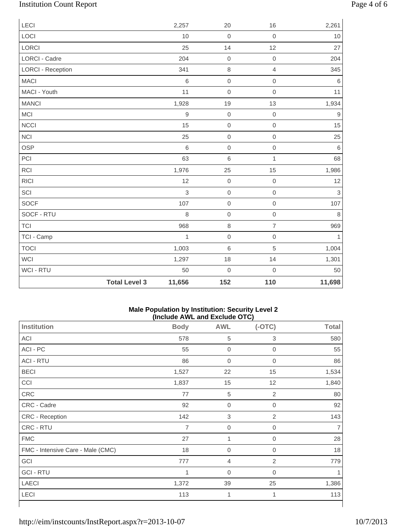# Institution Count Report Page 4 of 6

| LECI                     |                      | 2,257       | 20          | 16                  | 2,261            |
|--------------------------|----------------------|-------------|-------------|---------------------|------------------|
| LOCI                     |                      | 10          | $\mathbf 0$ | $\mathbf 0$         | 10               |
| LORCI                    |                      | 25          | 14          | 12                  | 27               |
| <b>LORCI - Cadre</b>     |                      | 204         | $\mathbf 0$ | $\mathbf 0$         | 204              |
| <b>LORCI - Reception</b> |                      | 341         | 8           | $\overline{4}$      | 345              |
| <b>MACI</b>              |                      | $\,$ 6 $\,$ | $\mathbf 0$ | $\mathbf 0$         | $\,6$            |
| MACI - Youth             |                      | 11          | $\mathbf 0$ | $\mathbf 0$         | 11               |
| <b>MANCI</b>             |                      | 1,928       | 19          | 13                  | 1,934            |
| MCI                      |                      | $\hbox{9}$  | $\mathbf 0$ | $\mathbf 0$         | $\boldsymbol{9}$ |
| <b>NCCI</b>              |                      | 15          | $\mbox{O}$  | $\mathbf 0$         | 15               |
| <b>NCI</b>               |                      | 25          | $\mbox{O}$  | $\mathbf 0$         | 25               |
| <b>OSP</b>               |                      | 6           | $\mathbf 0$ | $\mathbf 0$         | 6                |
| PCI                      |                      | 63          | 6           | $\mathbf{1}$        | 68               |
| <b>RCI</b>               |                      | 1,976       | 25          | 15                  | 1,986            |
| <b>RICI</b>              |                      | 12          | $\mathbf 0$ | $\mathbf 0$         | 12               |
| SCI                      |                      | 3           | $\mathbf 0$ | $\mathsf{O}\xspace$ | $\overline{3}$   |
| <b>SOCF</b>              |                      | 107         | $\mbox{O}$  | $\mathsf{O}$        | 107              |
| SOCF - RTU               |                      | 8           | $\mathbf 0$ | $\mathbf 0$         | $\,8\,$          |
| <b>TCI</b>               |                      | 968         | $\,8\,$     | $\overline{7}$      | 969              |
| TCI - Camp               |                      | 1           | $\mathbf 0$ | $\mathbf 0$         | 1                |
| <b>TOCI</b>              |                      | 1,003       | $\,6\,$     | 5                   | 1,004            |
| <b>WCI</b>               |                      | 1,297       | 18          | 14                  | 1,301            |
| WCI - RTU                |                      | 50          | $\mathbf 0$ | $\mathbf 0$         | 50               |
|                          | <b>Total Level 3</b> | 11,656      | 152         | 110                 | 11,698           |

### **Male Population by Institution: Security Level 2 (Include AWL and Exclude OTC)**

|                                   |             |                  | .              |              |
|-----------------------------------|-------------|------------------|----------------|--------------|
| <b>Institution</b>                | <b>Body</b> | <b>AWL</b>       | $(-OTC)$       | <b>Total</b> |
| ACI                               | 578         | $\,$ 5 $\,$      | 3              | 580          |
| ACI - PC                          | 55          | $\boldsymbol{0}$ | $\mathbf 0$    | 55           |
| <b>ACI - RTU</b>                  | 86          | $\boldsymbol{0}$ | $\mathbf 0$    | 86           |
| <b>BECI</b>                       | 1,527       | 22               | 15             | 1,534        |
| CCI                               | 1,837       | 15               | 12             | 1,840        |
| CRC                               | 77          | 5                | $\overline{2}$ | 80           |
| CRC - Cadre                       | 92          | $\boldsymbol{0}$ | $\mathbf 0$    | 92           |
| CRC - Reception                   | 142         | $\sqrt{3}$       | $\overline{2}$ | 143          |
| CRC - RTU                         | 7           | $\boldsymbol{0}$ | 0              | 7            |
| <b>FMC</b>                        | 27          | 1                | 0              | 28           |
| FMC - Intensive Care - Male (CMC) | 18          | $\boldsymbol{0}$ | $\overline{0}$ | 18           |
| GCI                               | 777         | $\overline{4}$   | $\overline{2}$ | 779          |
| <b>GCI - RTU</b>                  | 1           | $\overline{0}$   | $\mathbf 0$    |              |
| LAECI                             | 1,372       | 39               | 25             | 1,386        |
| LECI                              | 113         | 1                | 1              | 113          |
|                                   |             |                  |                |              |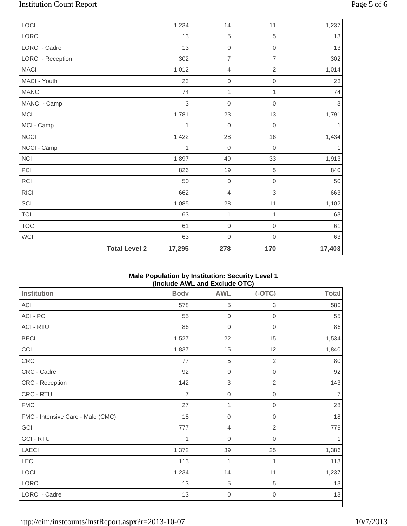# Institution Count Report Page 5 of 6

| LOCI                     |                      | 1,234  | 14               | 11                  | 1,237                     |
|--------------------------|----------------------|--------|------------------|---------------------|---------------------------|
| LORCI                    |                      | 13     | $\sqrt{5}$       | 5                   | 13                        |
| LORCI - Cadre            |                      | 13     | $\boldsymbol{0}$ | $\mathbf 0$         | 13                        |
| <b>LORCI - Reception</b> |                      | 302    | $\overline{7}$   | $\overline{7}$      | 302                       |
| <b>MACI</b>              |                      | 1,012  | $\overline{4}$   | $\overline{2}$      | 1,014                     |
| MACI - Youth             |                      | 23     | $\mathbf 0$      | $\mathbf 0$         | 23                        |
| <b>MANCI</b>             |                      | 74     | $\mathbf 1$      | $\mathbf{1}$        | 74                        |
| MANCI - Camp             |                      | 3      | $\mathbf 0$      | $\mathbf 0$         | $\ensuremath{\mathsf{3}}$ |
| MCI                      |                      | 1,781  | 23               | 13                  | 1,791                     |
| MCI - Camp               |                      | 1      | $\boldsymbol{0}$ | $\mathbf 0$         | 1                         |
| NCCI                     |                      | 1,422  | 28               | 16                  | 1,434                     |
| NCCI - Camp              |                      | 1      | $\mathbf 0$      | $\mathbf 0$         | 1                         |
| <b>NCI</b>               |                      | 1,897  | 49               | 33                  | 1,913                     |
| PCI                      |                      | 826    | 19               | 5                   | 840                       |
| RCI                      |                      | 50     | $\mathbf 0$      | $\mathbf 0$         | 50                        |
| <b>RICI</b>              |                      | 662    | $\overline{4}$   | 3                   | 663                       |
| SCI                      |                      | 1,085  | 28               | 11                  | 1,102                     |
| <b>TCI</b>               |                      | 63     | 1                | 1                   | 63                        |
| <b>TOCI</b>              |                      | 61     | $\mathbf 0$      | $\mathsf{O}\xspace$ | 61                        |
| <b>WCI</b>               |                      | 63     | $\boldsymbol{0}$ | $\mathbf 0$         | 63                        |
|                          | <b>Total Level 2</b> | 17,295 | 278              | 170                 | 17,403                    |

#### **Male Population by Institution: Security Level 1 (Include AWL and Exclude OTC)**

| <b>Institution</b>                | <b>Body</b>    | .<br><b>AWL</b>  | $(-OTC)$            | <b>Total</b> |
|-----------------------------------|----------------|------------------|---------------------|--------------|
| ACI                               | 578            | $\,$ 5 $\,$      | 3                   | 580          |
| ACI - PC                          | 55             | $\boldsymbol{0}$ | $\boldsymbol{0}$    | 55           |
| <b>ACI - RTU</b>                  | 86             | $\mathbf 0$      | $\mathbf 0$         | 86           |
| <b>BECI</b>                       | 1,527          | 22               | 15                  | 1,534        |
| CCI                               | 1,837          | 15               | 12                  | 1,840        |
| CRC                               | 77             | $\,$ 5 $\,$      | $\overline{2}$      | 80           |
| CRC - Cadre                       | 92             | $\mathbf 0$      | $\mathsf{O}\xspace$ | 92           |
| CRC - Reception                   | 142            | 3                | $\overline{2}$      | 143          |
| CRC - RTU                         | $\overline{7}$ | $\mathbf 0$      | $\boldsymbol{0}$    | 7            |
| <b>FMC</b>                        | 27             | 1                | $\mathbf 0$         | 28           |
| FMC - Intensive Care - Male (CMC) | 18             | $\mathbf 0$      | $\mathsf{O}\xspace$ | 18           |
| GCI                               | 777            | $\overline{4}$   | $\overline{2}$      | 779          |
| <b>GCI - RTU</b>                  | 1              | $\boldsymbol{0}$ | 0                   |              |
| LAECI                             | 1,372          | 39               | 25                  | 1,386        |
| LECI                              | 113            | 1                | 1                   | 113          |
| LOCI                              | 1,234          | 14               | 11                  | 1,237        |
| LORCI                             | 13             | 5                | 5                   | 13           |
| LORCI - Cadre                     | 13             | $\boldsymbol{0}$ | $\boldsymbol{0}$    | 13           |
|                                   |                |                  |                     |              |